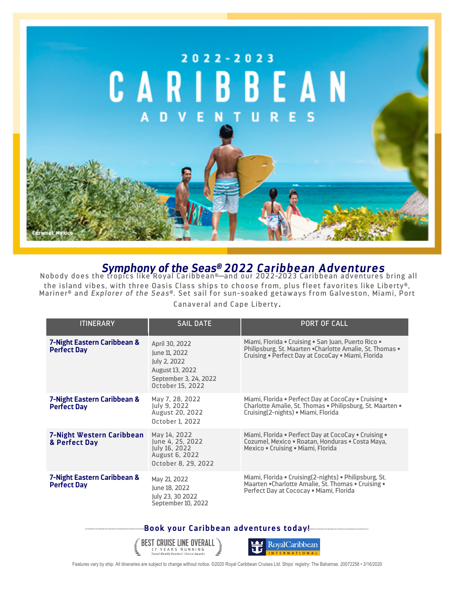

## *Symphony of the Seas® 2022 Caribbean Adventures* Nobody does the tropics like Royal Caribbean®—and our 2022-2023 Caribbean adventures bring all

the island vibes, with three Oasis Class ships to choose from, plus fleet favorites like Liberty®, Mariner® and *Explorer of the Seas®.* Set sail for sun-soaked getaways from Galveston, Miami, Port

Canaveral and Cape Liberty.

| <b>ITINERARY</b>                                  | <b>SAIL DATE</b>                                                                                                | <b>PORT OF CALL</b>                                                                                                                                                    |
|---------------------------------------------------|-----------------------------------------------------------------------------------------------------------------|------------------------------------------------------------------------------------------------------------------------------------------------------------------------|
| 7-Night Eastern Caribbean &<br><b>Perfect Day</b> | April 30, 2022<br>June 11, 2022<br>July 2, 2022<br>August 13, 2022<br>September 3, 24, 2022<br>October 15, 2022 | Miami, Florida • Cruising • San Juan, Puerto Rico •<br>Philipsburg, St. Maarten . Charlotte Amalie, St. Thomas .<br>Cruising . Perfect Day at CocoCay . Miami, Florida |
| 7-Night Eastern Caribbean &<br><b>Perfect Day</b> | May 7, 28, 2022<br>July 9, 2022<br><b>August 20, 2022</b><br>October 1, 2022                                    | Miami, Florida • Perfect Day at CocoCay • Cruising •<br>Charlotte Amalie, St. Thomas . Philipsburg, St. Maarten .<br>Cruising(2-nights) • Miami, Florida               |
| 7-Night Western Caribbean<br>& Perfect Day        | May 14, 2022<br>June 4, 25, 2022<br>July 16, 2022<br>August 6, 2022<br>October 8, 29, 2022                      | Miami, Florida . Perfect Day at CocoCay . Cruising .<br>Cozumel, Mexico . Roatan, Honduras . Costa Maya,<br>Mexico • Cruising • Miami, Florida                         |
| 7-Night Eastern Caribbean &<br><b>Perfect Day</b> | May 21, 2022<br>June 18, 2022<br>July 23, 30 2022<br>September 10, 2022                                         | Miami, Florida • Cruising(2-nights) • Philipsburg, St.<br>Maarten . Charlotte Amalie, St. Thomas . Cruising .<br>Perfect Day at Cococay . Miami, Florida               |

**Book your Caribbean adventures today!**





Features vary by ship. All itineraries are subject to change without notice. ©2020 Royal Caribbean Cruises Ltd. Ships' registry: The Bahamas. 20072258 • 3/16/2020